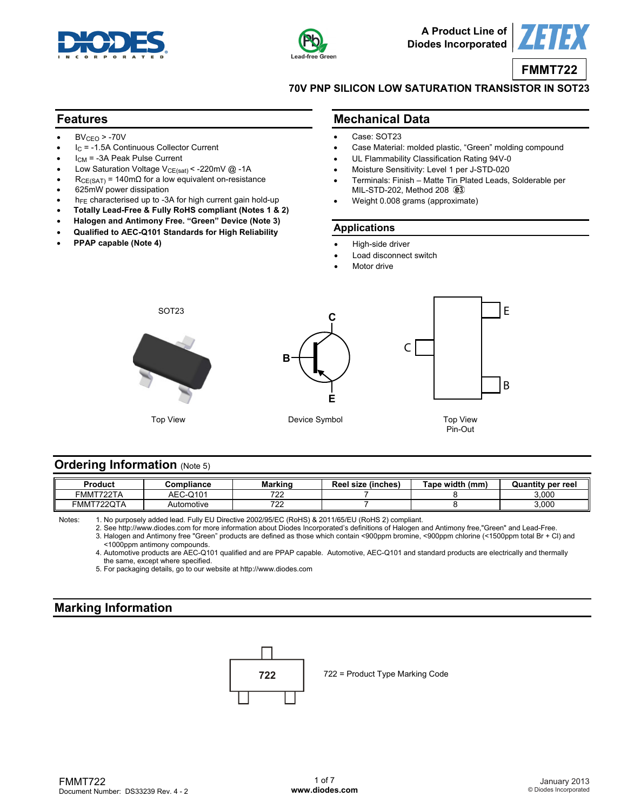



**A Product Line of Diodes Incorporated**



**FMMT722**

**70V PNP SILICON LOW SATURATION TRANSISTOR IN SOT23** 

### **Features**

- $BV<sub>CEO</sub> > -70V$
- $I_C$  = -1.5A Continuous Collector Current
- $I_{CM}$  = -3A Peak Pulse Current
- Low Saturation Voltage  $V_{CE(sat)} < -220$ mV @ -1A
- $R_{CE(SAT)} = 140 \text{m}\Omega$  for a low equivalent on-resistance
- 625mW power dissipation
- $h_{FE}$  characterised up to -3A for high current gain hold-up
- **Totally Lead-Free & Fully RoHS compliant (Notes 1 & 2)**
- **Halogen and Antimony Free. "Green" Device (Note 3)**
- **Qualified to AEC-Q101 Standards for High Reliability**
- **PPAP capable (Note 4)**

### **Mechanical Data**

- Case: SOT23
- Case Material: molded plastic, "Green" molding compound
- UL Flammability Classification Rating 94V-0
- Moisture Sensitivity: Level 1 per J-STD-020
- Terminals: Finish Matte Tin Plated Leads, Solderable per MIL-STD-202, Method 208  $@3$
- Weight 0.008 grams (approximate)

#### **Applications**

- High-side driver
- Load disconnect switch
- Motor drive



### **Ordering Information (Note 5)**

| Product                          | Compliance        | Marking   | Reel size<br>√inches ( | Tape width<br>(mm | Quantit<br>'v per reel |
|----------------------------------|-------------------|-----------|------------------------|-------------------|------------------------|
| <b>TRACT.</b><br>™FMN<br>722 I A | $C - Q104$<br>AEC | 700<br>.  |                        |                   | 3.000                  |
| FMMT722QTA                       | Automotive        | 700<br>-- |                        |                   | 3.000                  |

Notes: 1. No purposely added lead. Fully EU Directive 2002/95/EC (RoHS) & 2011/65/EU (RoHS 2) compliant.

 2. See [http://www.diodes.com fo](http://www.diodes.com)r more information about Diodes Incorporated's definitions of Halogen and Antimony free,"Green" and Lead-Free. 3. Halogen and Antimony free "Green" products are defined as those which contain <900ppm bromine, <900ppm chlorine (<1500ppm total Br + Cl) and

 <1000ppm antimony compounds. 4. Automotive products are AEC-Q101 qualified and are PPAP capable. Automotive, AEC-Q101 and standard products are electrically and thermally the same, except where specified.

5. For packaging details, go to our website at <http://www.diodes.com>

## **Marking Information**

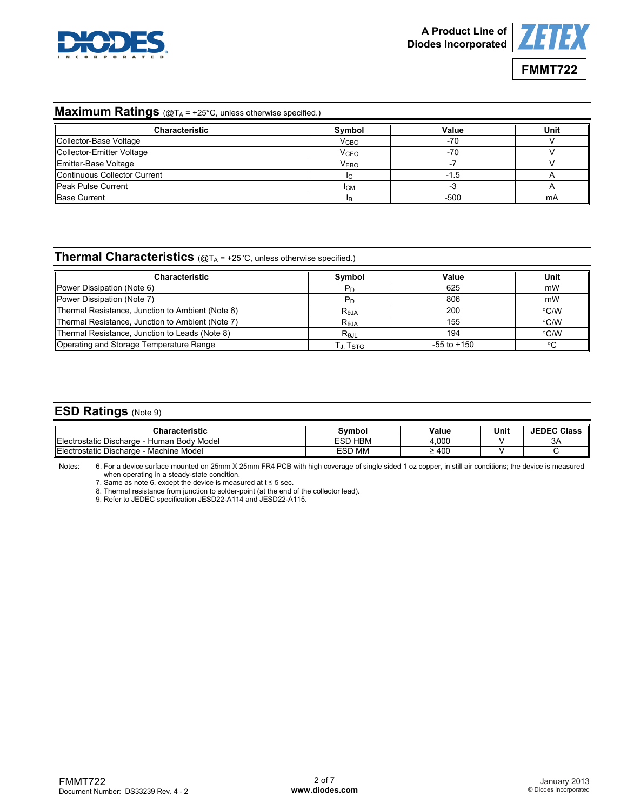



## **Maximum Ratings** (@T<sub>A</sub> = +25°C, unless otherwise specified.)

| <b>Characteristic</b>        | Symbol                 | Value | Unit |
|------------------------------|------------------------|-------|------|
| Collector-Base Voltage       | <b>V<sub>CBO</sub></b> | -70   |      |
| Collector-Emitter Voltage    | <b>V<sub>CEO</sub></b> | -70   |      |
| Emitter-Base Voltage         | <b>VEBO</b>            |       |      |
| Continuous Collector Current |                        | -1.5  |      |
| <b>Peak Pulse Current</b>    | <b>ICM</b>             | - 3   |      |
| <b>Base Current</b>          |                        | -500  | mA   |

# **Thermal Characteristics** (@TA = +25°C, unless otherwise specified.)

| <b>Characteristic</b>                            | Symbol         | Value           | Unit          |
|--------------------------------------------------|----------------|-----------------|---------------|
| Power Dissipation (Note 6)                       |                | 625             | mW            |
| Power Dissipation (Note 7)                       |                | 806             | mW            |
| Thermal Resistance, Junction to Ambient (Note 6) | $R_{\theta$ JA | 200             | $\degree$ C/W |
| Thermal Resistance, Junction to Ambient (Note 7) | $R_{\theta$ JA | 155             | °C/W          |
| Thermal Resistance, Junction to Leads (Note 8)   | $R_{0,IL}$     | 194             | $\degree$ C/W |
| Operating and Storage Temperature Range          | Г., TsтG       | $-55$ to $+150$ | °C            |

## **ESD Ratings** (Note 9)

| Characteristic                                  | Svmbol            | Value            | Unit | <b>JEDEC Class</b> |
|-------------------------------------------------|-------------------|------------------|------|--------------------|
| Electr<br>Human Body Model<br>ostatic Discharge | <b>HBM</b><br>ESD | .000             |      | 3A                 |
| Electr<br>Machine Model<br>'ostatic Discharɑe   | <b>ESD MM</b>     | $\cdot$ 400<br>- |      |                    |

Notes: 6. For a device surface mounted on 25mm X 25mm FR4 PCB with high coverage of single sided 1 oz copper, in still air conditions; the device is measured when operating in a steady-state condition.

7. Same as note 6, except the device is measured at  $t \le 5$  sec.

8. Thermal resistance from junction to solder-point (at the end of the collector lead).

9. Refer to JEDEC specification JESD22-A114 and JESD22-A115.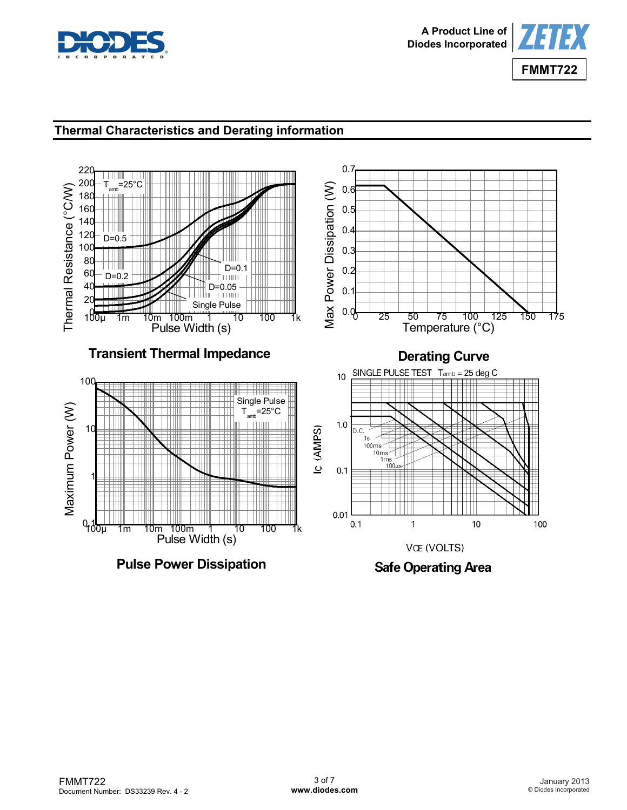



# **Thermal Characteristics and Derating information**



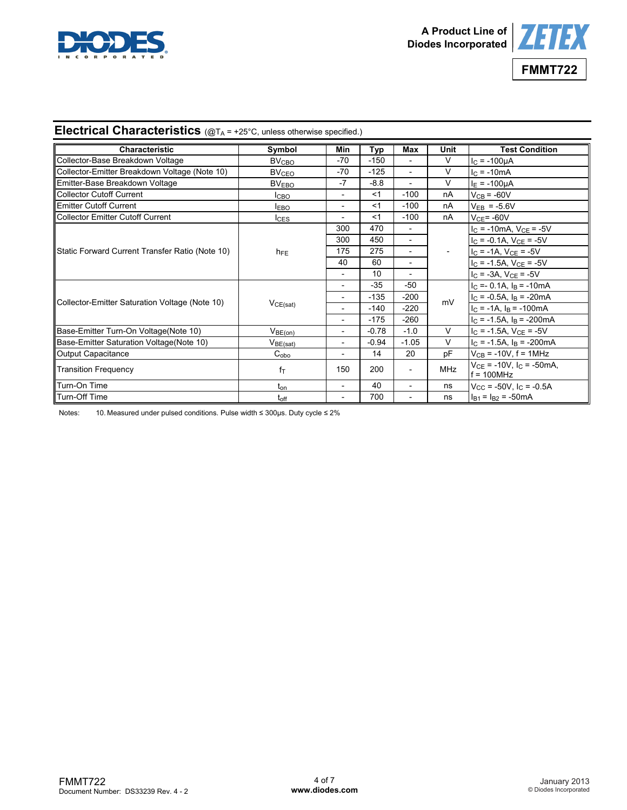



# **Electrical Characteristics** (@TA = +25°C, unless otherwise specified.)

| <b>Characteristic</b>                           | Symbol                  | Min                          | Typ     | Max                      | Unit       | <b>Test Condition</b>                            |
|-------------------------------------------------|-------------------------|------------------------------|---------|--------------------------|------------|--------------------------------------------------|
| Collector-Base Breakdown Voltage                | <b>BV<sub>CBO</sub></b> | $-70$                        | $-150$  | $\overline{\phantom{a}}$ | V          | $I_{C} = -100 \mu A$                             |
| Collector-Emitter Breakdown Voltage (Note 10)   | <b>BV<sub>CEO</sub></b> | -70                          | $-125$  | $\overline{\phantom{a}}$ | V          | $I_{C} = -10mA$                                  |
| Emitter-Base Breakdown Voltage                  | <b>BVEBO</b>            | $-7$                         | -8.8    |                          | V          | $I_E = -100 \mu A$                               |
| Collector Cutoff Current                        | <b>I</b> CBO            | $\overline{a}$               | <1      | $-100$                   | nA         | $V_{CB}$ = -60V                                  |
| Emitter Cutoff Current                          | <b>IEBO</b>             | $\overline{\phantom{0}}$     | < 1     | $-100$                   | nA         | $V_{EB} = -5.6V$                                 |
| Collector Emitter Cutoff Current                | $I_{CES}$               | $\qquad \qquad \blacksquare$ | $<$ 1   | $-100$                   | nA         | $V_{CF}$ = -60V                                  |
|                                                 |                         | 300                          | 470     |                          |            | $I_C = -10mA$ , $V_{CE} = -5V$                   |
|                                                 |                         | 300                          | 450     | $\overline{\phantom{a}}$ |            | $I_C = -0.1A$ , $V_{CE} = -5V$                   |
| Static Forward Current Transfer Ratio (Note 10) | $h_{FE}$                | 175                          | 275     |                          |            | $I_C = -1A$ , $V_{CE} = -5V$                     |
|                                                 |                         | 40                           | 60      |                          |            | $I_C = -1.5A$ , $V_{CE} = -5V$                   |
|                                                 |                         | $\overline{\phantom{a}}$     | 10      | $\overline{\phantom{a}}$ |            | $I_C = -3A$ , $V_{CE} = -5V$                     |
|                                                 | VCE(sat)                | $\overline{\phantom{0}}$     | $-35$   | $-50$                    |            | $I_C = -0.1A$ , $I_B = -10mA$                    |
| Collector-Emitter Saturation Voltage (Note 10)  |                         | $\overline{\phantom{0}}$     | $-135$  | $-200$                   | mV         | $I_C = -0.5A$ , $I_B = -20mA$                    |
|                                                 |                         |                              | $-140$  | $-220$                   |            | $I_C = -1A$ , $I_B = -100mA$                     |
|                                                 |                         | $\overline{\phantom{0}}$     | $-175$  | $-260$                   |            | $I_C = -1.5A$ , $I_B = -200mA$                   |
| Base-Emitter Turn-On Voltage(Note 10)           | $V_{BE(on)}$            | $\overline{\phantom{0}}$     | $-0.78$ | $-1.0$                   | $\vee$     | $I_{\rm C}$ = -1.5A, $V_{\rm CE}$ = -5V          |
| Base-Emitter Saturation Voltage (Note 10)       | $V_{BE(sat)}$           | $\overline{a}$               | $-0.94$ | $-1.05$                  | $\vee$     | $I_C = -1.5A$ , $I_B = -200mA$                   |
| Output Capacitance                              | $C_{\text{obo}}$        | $\overline{\phantom{0}}$     | 14      | 20                       | pF         | $V_{CB}$ = -10V, f = 1MHz                        |
| <b>Transition Frequency</b>                     | $f_T$                   | 150                          | 200     |                          | <b>MHz</b> | $V_{CE}$ = -10V, $I_C$ = -50mA,<br>$f = 100 MHz$ |
| Turn-On Time                                    | $t_{on}$                | $\overline{\phantom{0}}$     | 40      | $\blacksquare$           | ns         | $V_{\text{CC}}$ = -50V, $I_{\text{C}}$ = -0.5A   |
| Turn-Off Time                                   | $t_{\rm off}$           |                              | 700     |                          | ns         | $I_{B1} = I_{B2} = -50$ mA                       |

Notes: 10. Measured under pulsed conditions. Pulse width ≤ 300µs. Duty cycle ≤ 2%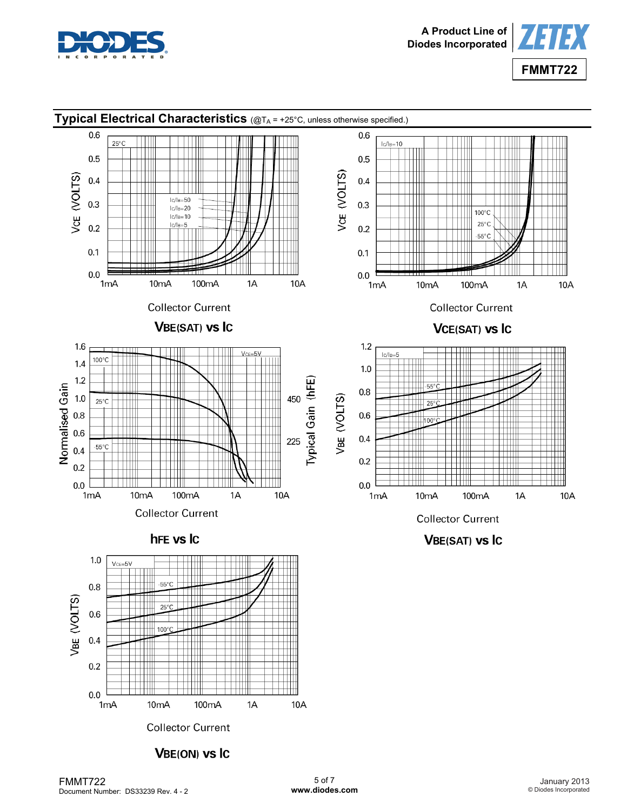



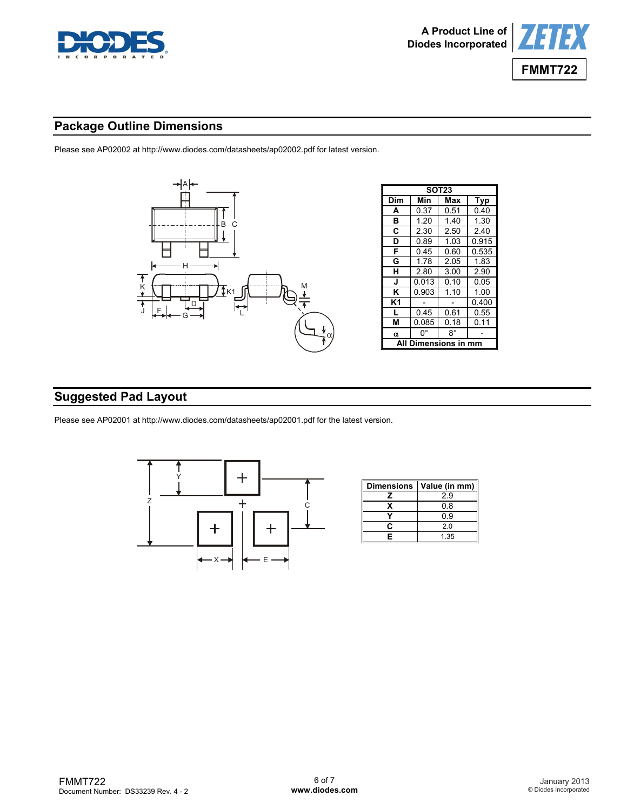



## **Package Outline Dimensions**

Please see AP02002 at [http://www.diodes.com/datasheets/ap02002.pdf fo](http://www.diodes.com/datasheets/ap02002.pdf)r latest version.



# **Suggested Pad Layout**

Please see AP02001 at [http://www.diodes.com/datasheets/ap02001.pdf fo](http://www.diodes.com/datasheets/ap02001.pdf)r the latest version.



| <b>Dimensions</b> | Value (in mm) |
|-------------------|---------------|
|                   | 29            |
|                   | 0.8           |
|                   | ი 9           |
| r                 | 20            |
| F                 | 1 35          |